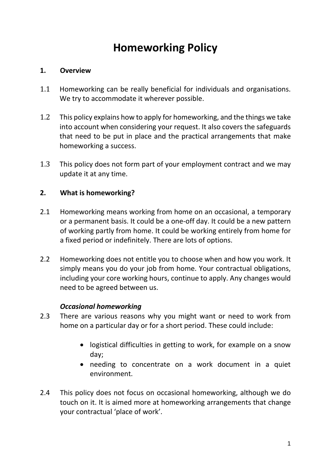# **Homeworking Policy**

### **1. Overview**

- 1.1 Homeworking can be really beneficial for individuals and organisations. We try to accommodate it wherever possible.
- 1.2 This policy explains how to apply for homeworking, and the things we take into account when considering your request. It also covers the safeguards that need to be put in place and the practical arrangements that make homeworking a success.
- 1.3 This policy does not form part of your employment contract and we may update it at any time.

## **2. What is homeworking?**

- 2.1 Homeworking means working from home on an occasional, a temporary or a permanent basis. It could be a one-off day. It could be a new pattern of working partly from home. It could be working entirely from home for a fixed period or indefinitely. There are lots of options.
- 2.2 Homeworking does not entitle you to choose when and how you work. It simply means you do your job from home. Your contractual obligations, including your core working hours, continue to apply. Any changes would need to be agreed between us.

#### *Occasional homeworking*

- 2.3 There are various reasons why you might want or need to work from home on a particular day or for a short period. These could include:
	- logistical difficulties in getting to work, for example on a snow day;
	- needing to concentrate on a work document in a quiet environment.
- 2.4 This policy does not focus on occasional homeworking, although we do touch on it. It is aimed more at homeworking arrangements that change your contractual 'place of work'.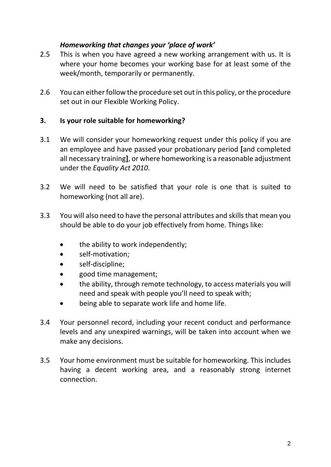## *Homeworking that changes your 'place of work'*

- 2.5 This is when you have agreed a new working arrangement with us. It is where your home becomes your working base for at least some of the week/month, temporarily or permanently.
- 2.6 You can either follow the procedure set out in this policy, or the procedure set out in our Flexible Working Policy.

## **3. Is your role suitable for homeworking?**

- 3.1 We will consider your homeworking request under this policy if you are an employee and have passed your probationary period **[**and completed all necessary training**]**, or where homeworking is a reasonable adjustment under the *Equality Act 2010*.
- 3.2 We will need to be satisfied that your role is one that is suited to homeworking (not all are).
- 3.3 You will also need to have the personal attributes and skills that mean you should be able to do your job effectively from home. Things like:
	- the ability to work independently;
	- self-motivation;
	- self-discipline;
	- good time management;
	- the ability, through remote technology, to access materials you will need and speak with people you'll need to speak with;
	- being able to separate work life and home life.
- 3.4 Your personnel record, including your recent conduct and performance levels and any unexpired warnings, will be taken into account when we make any decisions.
- 3.5 Your home environment must be suitable for homeworking. This includes having a decent working area, and a reasonably strong internet connection.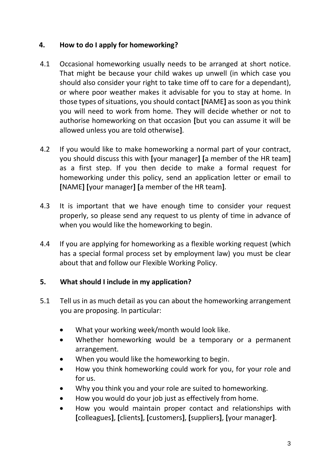# **4. How to do I apply for homeworking?**

- 4.1 Occasional homeworking usually needs to be arranged at short notice. That might be because your child wakes up unwell (in which case you should also consider your right to take time off to care for a dependant), or where poor weather makes it advisable for you to stay at home. In those types of situations, you should contact **[**NAME**]** as soon as you think you will need to work from home. They will decide whether or not to authorise homeworking on that occasion **[**but you can assume it will be allowed unless you are told otherwise**]**.
- 4.2 If you would like to make homeworking a normal part of your contract, you should discuss this with **[**your manager**] [**a member of the HR team**]** as a first step. If you then decide to make a formal request for homeworking under this policy, send an application letter or email to **[**NAME**] [**your manager**] [**a member of the HR team**]**.
- 4.3 It is important that we have enough time to consider your request properly, so please send any request to us plenty of time in advance of when you would like the homeworking to begin.
- 4.4 If you are applying for homeworking as a flexible working request (which has a special formal process set by employment law) you must be clear about that and follow our Flexible Working Policy.

# **5. What should I include in my application?**

- 5.1 Tell us in as much detail as you can about the homeworking arrangement you are proposing. In particular:
	- What your working week/month would look like.
	- Whether homeworking would be a temporary or a permanent arrangement.
	- When you would like the homeworking to begin.
	- How you think homeworking could work for you, for your role and for us.
	- Why you think you and your role are suited to homeworking.
	- How you would do your job just as effectively from home.
	- How you would maintain proper contact and relationships with **[**colleagues**]**, **[**clients**]**, **[**customers**]**, **[**suppliers**]**, **[**your manager**]**.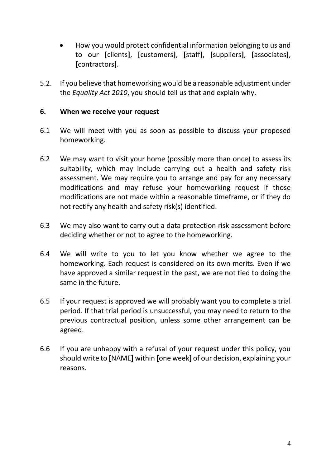- How you would protect confidential information belonging to us and to our **[**clients**]**, **[**customers**]**, **[**staff**]**, **[**suppliers**]**, **[**associates**]**, **[**contractors**]**.
- 5.2. If you believe that homeworking would be a reasonable adjustment under the *Equality Act 2010*, you should tell us that and explain why.

#### **6. When we receive your request**

- 6.1 We will meet with you as soon as possible to discuss your proposed homeworking.
- 6.2 We may want to visit your home (possibly more than once) to assess its suitability, which may include carrying out a health and safety risk assessment. We may require you to arrange and pay for any necessary modifications and may refuse your homeworking request if those modifications are not made within a reasonable timeframe, or if they do not rectify any health and safety risk(s) identified.
- 6.3 We may also want to carry out a data protection risk assessment before deciding whether or not to agree to the homeworking.
- 6.4 We will write to you to let you know whether we agree to the homeworking. Each request is considered on its own merits. Even if we have approved a similar request in the past, we are not tied to doing the same in the future.
- 6.5 If your request is approved we will probably want you to complete a trial period. If that trial period is unsuccessful, you may need to return to the previous contractual position, unless some other arrangement can be agreed.
- 6.6 If you are unhappy with a refusal of your request under this policy, you should write to **[**NAME**]** within **[**one week**]** of our decision, explaining your reasons.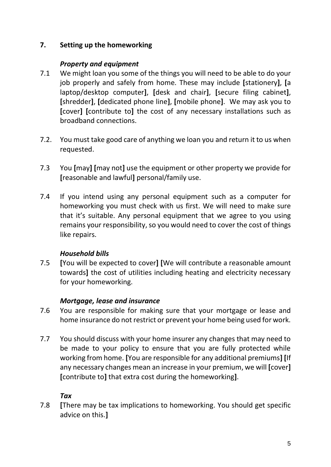# **7. Setting up the homeworking**

### *Property and equipment*

- 7.1 We might loan you some of the things you will need to be able to do your job properly and safely from home. These may include **[**stationery**]**, **[**a laptop/desktop computer**]**, **[**desk and chair**]**, **[**secure filing cabinet**]**, **[**shredder**]**, **[**dedicated phone line**]**, **[**mobile phone**]**. We may ask you to **[**cover**] [**contribute to**]** the cost of any necessary installations such as broadband connections.
- 7.2. You must take good care of anything we loan you and return it to us when requested.
- 7.3 You **[**may**] [**may not**]** use the equipment or other property we provide for **[**reasonable and lawful**]** personal/family use.
- 7.4 If you intend using any personal equipment such as a computer for homeworking you must check with us first. We will need to make sure that it's suitable. Any personal equipment that we agree to you using remains your responsibility, so you would need to cover the cost of things like repairs.

#### *Household bills*

7.5 **[**You will be expected to cover**] [**We will contribute a reasonable amount towards**]** the cost of utilities including heating and electricity necessary for your homeworking.

# *Mortgage, lease and insurance*

- 7.6 You are responsible for making sure that your mortgage or lease and home insurance do not restrict or prevent your home being used for work.
- 7.7 You should discuss with your home insurer any changes that may need to be made to your policy to ensure that you are fully protected while working from home. **[**You are responsible for any additional premiums**] [**If any necessary changes mean an increase in your premium, we will **[**cover**] [**contribute to**]** that extra cost during the homeworking**]**.

# *Tax*

7.8 **[**There may be tax implications to homeworking. You should get specific advice on this.**]**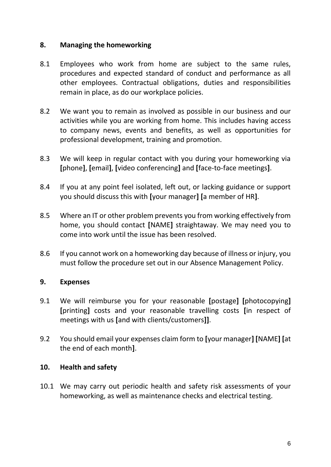#### **8. Managing the homeworking**

- 8.1 Employees who work from home are subject to the same rules, procedures and expected standard of conduct and performance as all other employees. Contractual obligations, duties and responsibilities remain in place, as do our workplace policies.
- 8.2 We want you to remain as involved as possible in our business and our activities while you are working from home. This includes having access to company news, events and benefits, as well as opportunities for professional development, training and promotion.
- 8.3 We will keep in regular contact with you during your homeworking via **[**phone**]**, **[**email**]**, **[**video conferencing**]** and **[**face-to-face meetings**]**.
- 8.4 If you at any point feel isolated, left out, or lacking guidance or support you should discuss this with **[**your manager**] [**a member of HR**]**.
- 8.5 Where an IT or other problem prevents you from working effectively from home, you should contact **[**NAME**]** straightaway. We may need you to come into work until the issue has been resolved.
- 8.6 If you cannot work on a homeworking day because of illness or injury, you must follow the procedure set out in our Absence Management Policy.

#### **9. Expenses**

- 9.1 We will reimburse you for your reasonable **[**postage**] [**photocopying**] [**printing**]** costs and your reasonable travelling costs **[**in respect of meetings with us **[**and with clients/customers**]]**.
- 9.2 You should email your expenses claim form to **[**your manager**] [**NAME**] [**at the end of each month**]**.

#### **10. Health and safety**

10.1 We may carry out periodic health and safety risk assessments of your homeworking, as well as maintenance checks and electrical testing.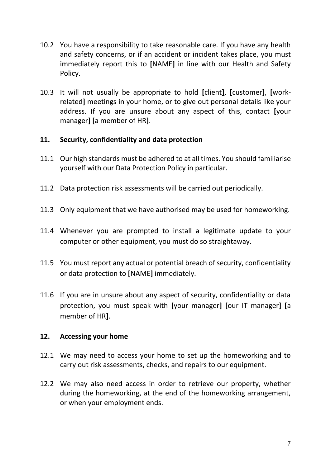- 10.2 You have a responsibility to take reasonable care. If you have any health and safety concerns, or if an accident or incident takes place, you must immediately report this to **[**NAME**]** in line with our Health and Safety Policy.
- 10.3 It will not usually be appropriate to hold **[**client**]**, **[**customer**]**, **[**workrelated**]** meetings in your home, or to give out personal details like your address. If you are unsure about any aspect of this, contact **[**your manager**] [**a member of HR**]**.

#### **11. Security, confidentiality and data protection**

- 11.1 Our high standards must be adhered to at all times. You should familiarise yourself with our Data Protection Policy in particular.
- 11.2 Data protection risk assessments will be carried out periodically.
- 11.3 Only equipment that we have authorised may be used for homeworking.
- 11.4 Whenever you are prompted to install a legitimate update to your computer or other equipment, you must do so straightaway.
- 11.5 You must report any actual or potential breach of security, confidentiality or data protection to **[**NAME**]** immediately.
- 11.6 If you are in unsure about any aspect of security, confidentiality or data protection, you must speak with **[**your manager**] [**our IT manager**] [**a member of HR**]**.

#### **12. Accessing your home**

- 12.1 We may need to access your home to set up the homeworking and to carry out risk assessments, checks, and repairs to our equipment.
- 12.2 We may also need access in order to retrieve our property, whether during the homeworking, at the end of the homeworking arrangement, or when your employment ends.